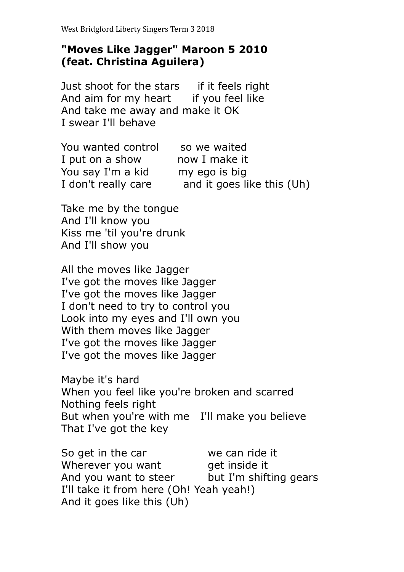## **"Moves Like Jagger" Maroon 5 2010 (feat. Christina Aguilera)**

Just shoot for the stars if it feels right And aim for my heart if you feel like And take me away and make it OK I swear I'll behave

| You wanted control  | so we waited               |
|---------------------|----------------------------|
| I put on a show     | now I make it              |
| You say I'm a kid   | my ego is big              |
| I don't really care | and it goes like this (Uh) |

Take me by the tongue And I'll know you Kiss me 'til you're drunk And I'll show you

All the moves like Jagger I've got the moves like Jagger I've got the moves like Jagger I don't need to try to control you Look into my eyes and I'll own you With them moves like Jagger I've got the moves like Jagger I've got the moves like Jagger

Maybe it's hard When you feel like you're broken and scarred Nothing feels right But when you're with me I'll make you believe That I've got the key

So get in the car we can ride it Wherever you want get inside it And you want to steer but I'm shifting gears I'll take it from here (Oh! Yeah yeah!) And it goes like this (Uh)